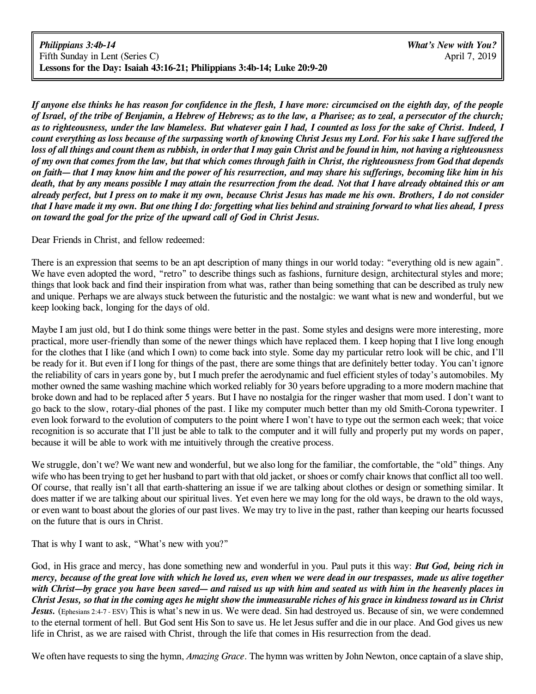If anyone else thinks he has reason for confidence in the flesh, I have more: circumcised on the eighth day, of the people of Israel, of the tribe of Benjamin, a Hebrew of Hebrews; as to the law, a Pharisee; as to zeal, a persecutor of the church; *as to righteousness, under the law blameless. But whatever gain I had, I counted as loss for the sake of Christ. Indeed, I* count everything as loss because of the surpassing worth of knowing Christ Jesus my Lord. For his sake I have suffered the loss of all things and count them as rubbish, in order that I may gain Christ and be found in him, not having a righteousness of my own that comes from the law, but that which comes through faith in Christ, the righteousness from God that depends on faith— that I may know him and the power of his resurrection, and may share his sufferings, becoming like him in his death, that by any means possible I may attain the resurrection from the dead. Not that I have already obtained this or am already perfect, but I press on to make it my own, because Christ Jesus has made me his own. Brothers, I do not consider that I have made it my own. But one thing I do: forgetting what lies behind and straining forward to what lies ahead, I press *on toward the goal for the prize of the upward call of God in Christ Jesus.*

Dear Friends in Christ, and fellow redeemed:

There is an expression that seems to be an apt description of many things in our world today: "everything old is new again". We have even adopted the word, "retro" to describe things such as fashions, furniture design, architectural styles and more; things that look back and find their inspiration from what was, rather than being something that can be described as truly new and unique. Perhaps we are always stuck between the futuristic and the nostalgic: we want what is new and wonderful, but we keep looking back, longing for the days of old.

Maybe I am just old, but I do think some things were better in the past. Some styles and designs were more interesting, more practical, more user-friendly than some of the newer things which have replaced them. I keep hoping that I live long enough for the clothes that I like (and which I own) to come back into style. Some day my particular retro look will be chic, and I'll be ready for it. But even if I long for things of the past, there are some things that are definitely better today. You can't ignore the reliability of cars in years gone by, but I much prefer the aerodynamic and fuel efficient styles of today's automobiles. My mother owned the same washing machine which worked reliably for 30 years before upgrading to a more modern machine that broke down and had to be replaced after 5 years. But I have no nostalgia for the ringer washer that mom used. I don't want to go back to the slow, rotary-dial phones of the past. I like my computer much better than my old Smith-Corona typewriter. I even look forward to the evolution of computers to the point where I won't have to type out the sermon each week; that voice recognition is so accurate that I'll just be able to talk to the computer and it will fully and properly put my words on paper, because it will be able to work with me intuitively through the creative process.

We struggle, don't we? We want new and wonderful, but we also long for the familiar, the comfortable, the "old" things. Any wife who has been trying to get her husband to part with that old jacket, or shoes or comfy chair knows that conflict all too well. Of course, that really isn't all that earth-shattering an issue if we are talking about clothes or design or something similar. It does matter if we are talking about our spiritual lives. Yet even here we may long for the old ways, be drawn to the old ways, or even want to boast about the glories of our past lives. We may try to live in the past, rather than keeping our hearts focussed on the future that is ours in Christ.

That is why I want to ask, "What's new with you?"

God, in His grace and mercy, has done something new and wonderful in you. Paul puts it this way: *But God, being rich in* mercy, because of the great love with which he loved us, even when we were dead in our trespasses, made us alive together *with Christ—by grace you have been saved— and raised us up with him and seated us with him in the heavenly places in* Christ Jesus, so that in the coming ages he might show the immeasurable riches of his grace in kindness toward us in Christ *Jesus.* (Ephesians 2:4-7 - ESV) This is what's new in us. We were dead. Sin had destroyed us. Because of sin, we were condemned to the eternal torment of hell. But God sent His Son to save us. He let Jesus suffer and die in our place. And God gives us new life in Christ, as we are raised with Christ, through the life that comes in His resurrection from the dead.

We often have requests to sing the hymn, *Amazing Grace*. The hymn was written by John Newton, once captain of a slave ship,